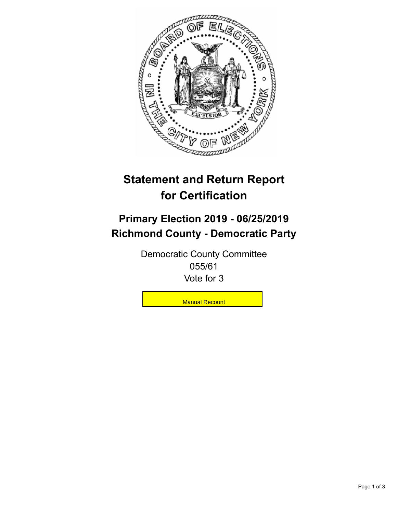

## **Statement and Return Report for Certification**

## **Primary Election 2019 - 06/25/2019 Richmond County - Democratic Party**

Democratic County Committee 055/61 Vote for 3

**Manual Recount**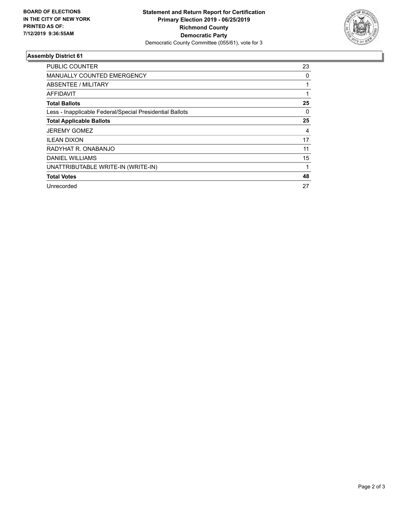

## **Assembly District 61**

| PUBLIC COUNTER                                           | 23 |
|----------------------------------------------------------|----|
| MANUALLY COUNTED EMERGENCY                               | 0  |
| ABSENTEE / MILITARY                                      |    |
| <b>AFFIDAVIT</b>                                         |    |
| <b>Total Ballots</b>                                     | 25 |
| Less - Inapplicable Federal/Special Presidential Ballots | 0  |
| <b>Total Applicable Ballots</b>                          | 25 |
| <b>JEREMY GOMEZ</b>                                      | 4  |
| <b>ILEAN DIXON</b>                                       | 17 |
| RADYHAT R. ONABANJO                                      | 11 |
| DANIEL WILLIAMS                                          | 15 |
| UNATTRIBUTABLE WRITE-IN (WRITE-IN)                       |    |
| <b>Total Votes</b>                                       | 48 |
| Unrecorded                                               | 27 |